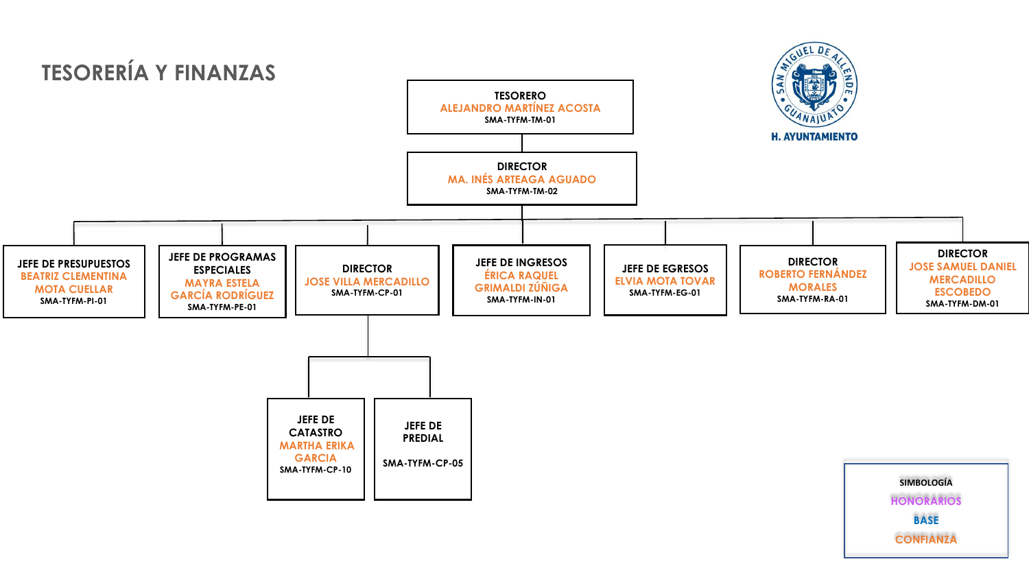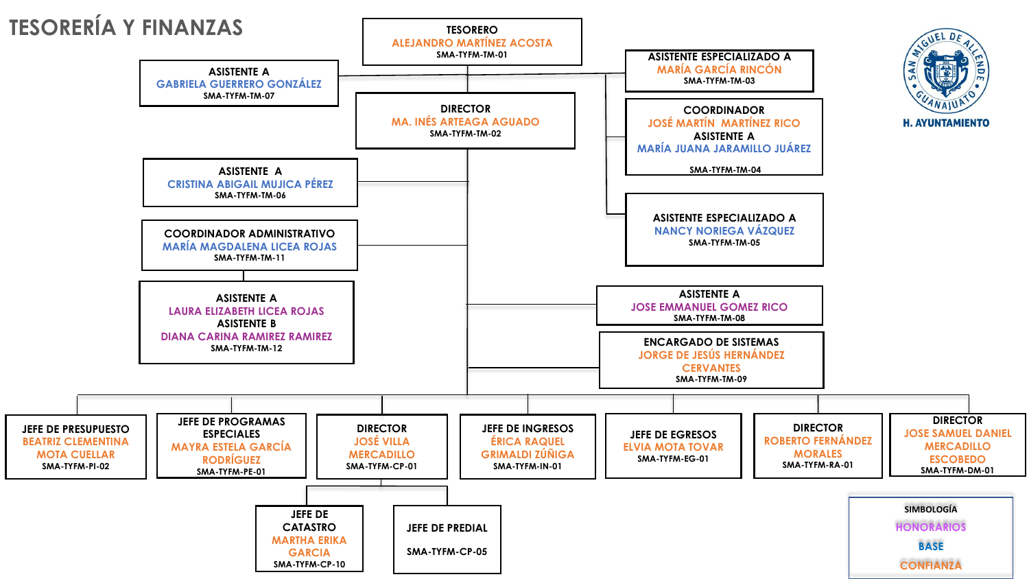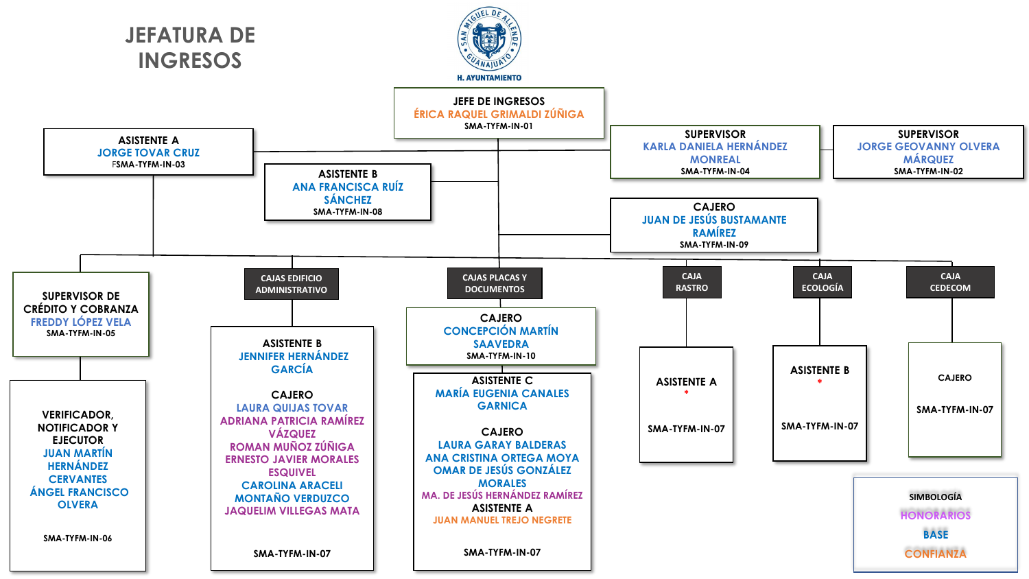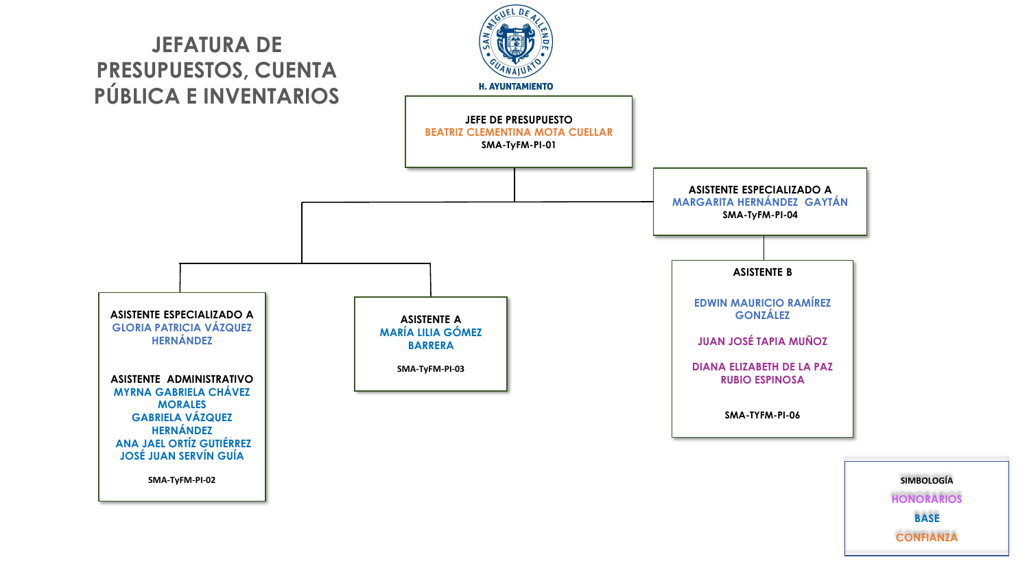

**HONORARIOS BASE CONFIANZA**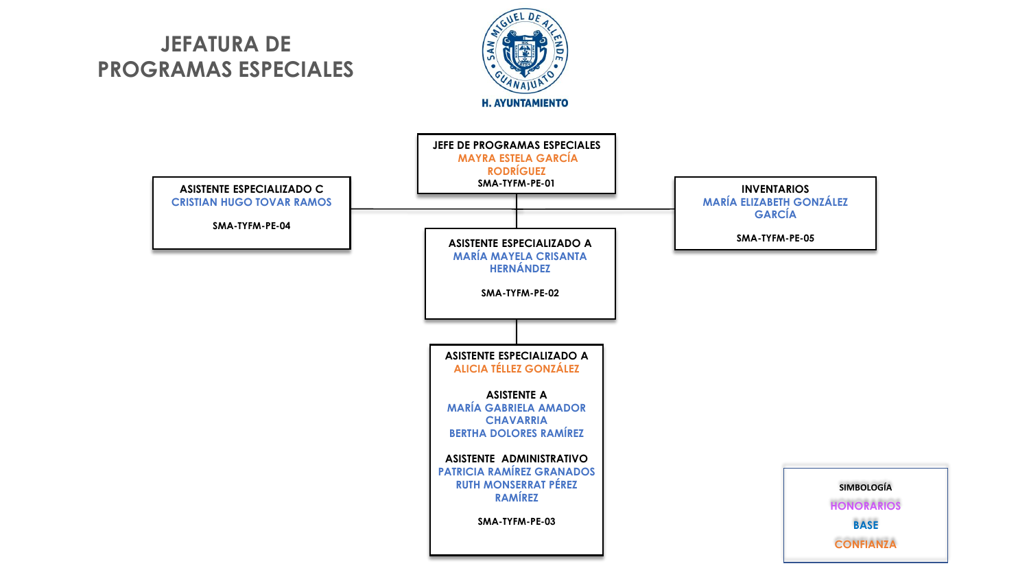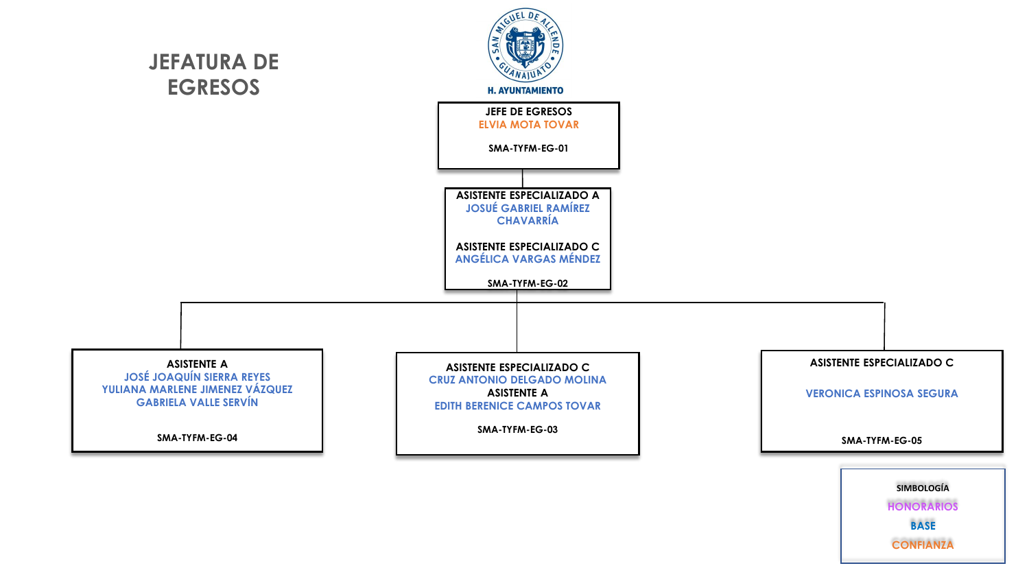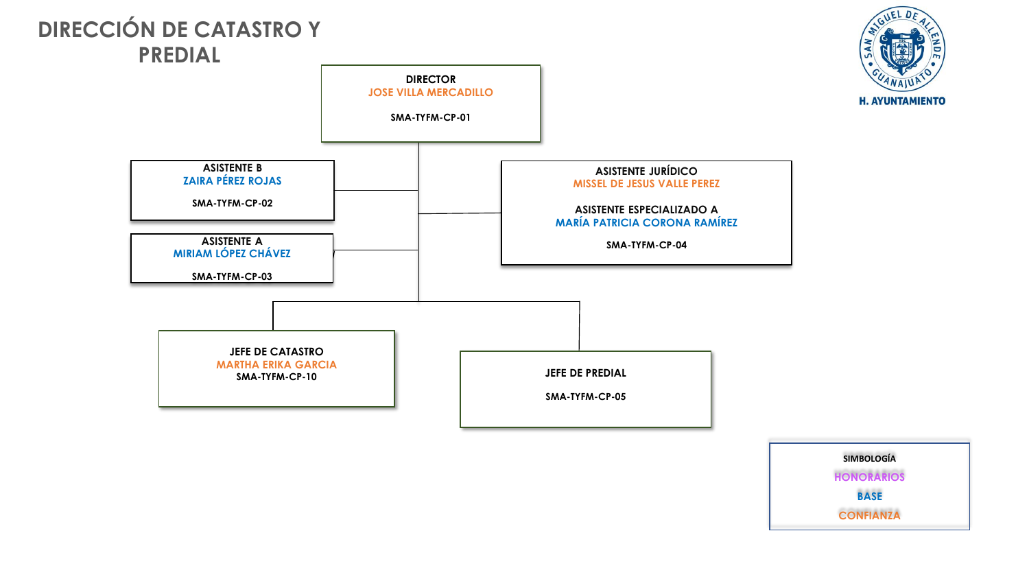

**SIMBOLOGÍA HONORARIOS BASE CONFIANZA**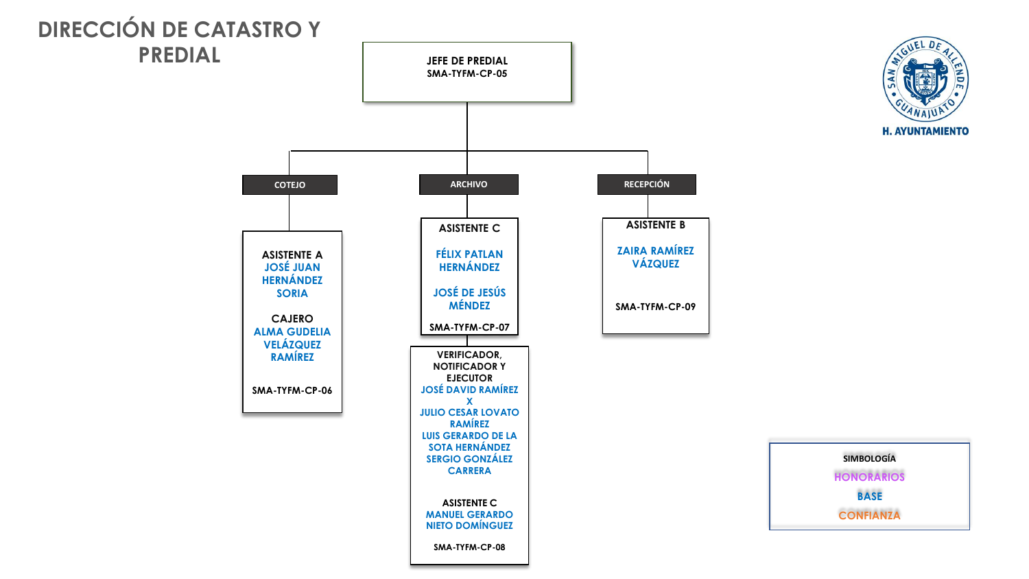

 $\blacksquare$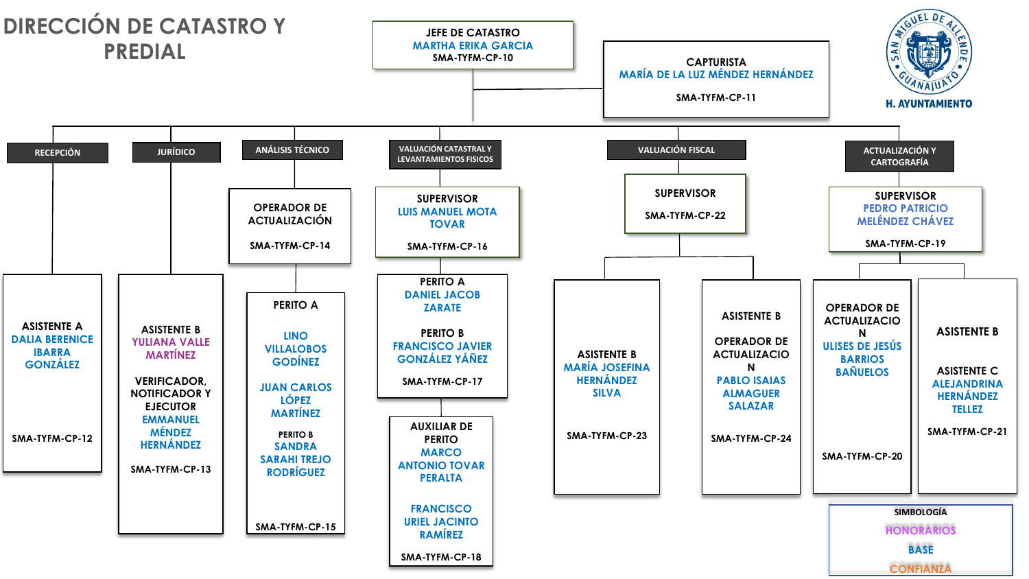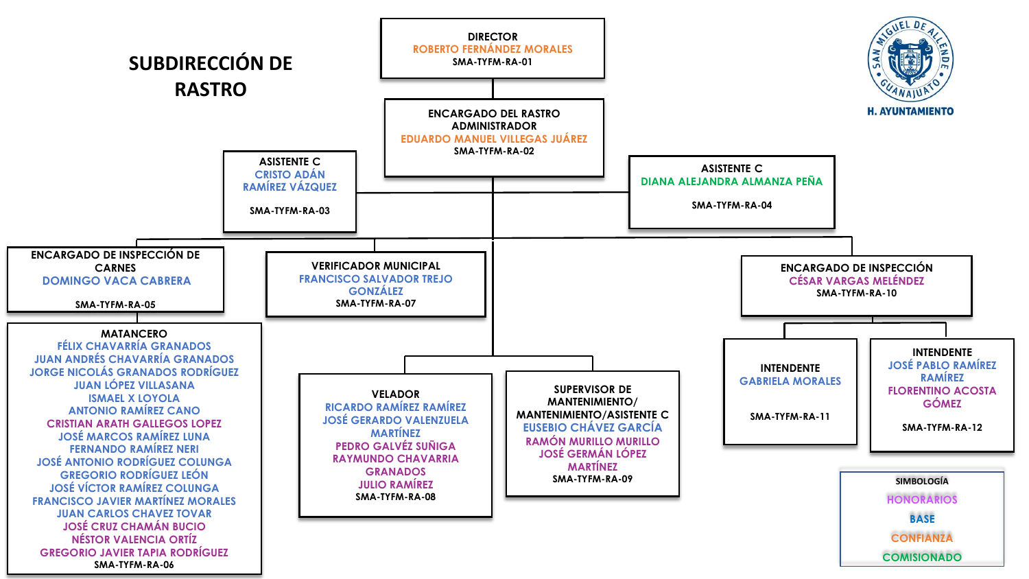